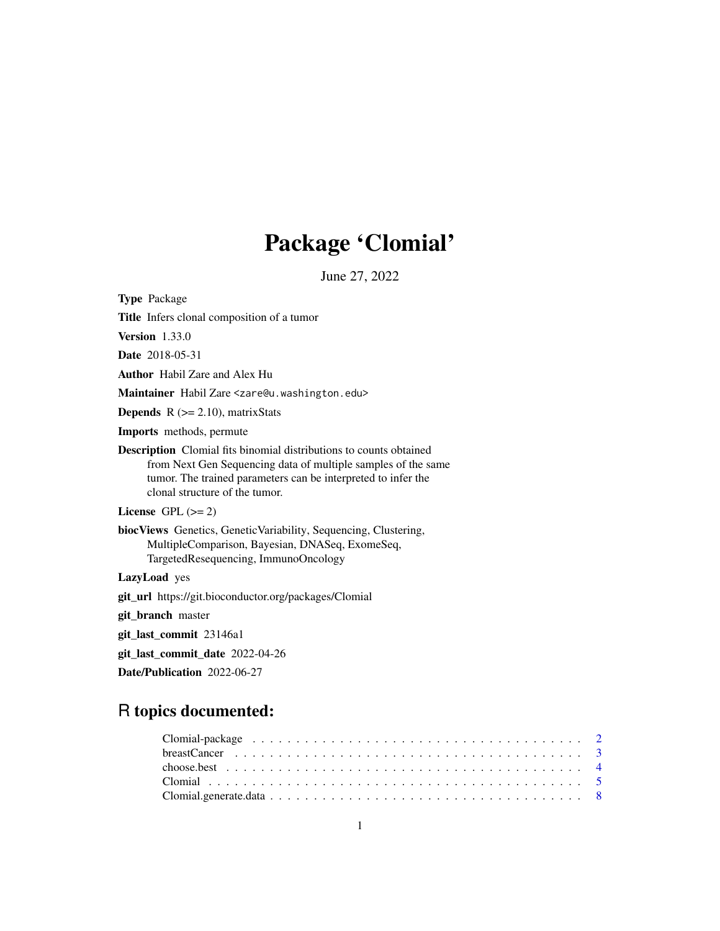# Package 'Clomial'

June 27, 2022

<span id="page-0-0"></span>

| <b>Type Package</b>                                                                                                                                                                                                                           |
|-----------------------------------------------------------------------------------------------------------------------------------------------------------------------------------------------------------------------------------------------|
| <b>Title</b> Infers clonal composition of a tumor                                                                                                                                                                                             |
| <b>Version</b> $1.33.0$                                                                                                                                                                                                                       |
| <b>Date</b> 2018-05-31                                                                                                                                                                                                                        |
| <b>Author</b> Habil Zare and Alex Hu                                                                                                                                                                                                          |
| Maintainer Habil Zare <zare@u.washington.edu></zare@u.washington.edu>                                                                                                                                                                         |
| <b>Depends</b> $R$ ( $>= 2.10$ ), matrix Stats                                                                                                                                                                                                |
| <b>Imports</b> methods, permute                                                                                                                                                                                                               |
| <b>Description</b> Clomial fits binomial distributions to counts obtained<br>from Next Gen Sequencing data of multiple samples of the same<br>tumor. The trained parameters can be interpreted to infer the<br>clonal structure of the tumor. |
| License GPL $(>= 2)$                                                                                                                                                                                                                          |
| <b>biocViews</b> Genetics, GeneticVariability, Sequencing, Clustering,<br>MultipleComparison, Bayesian, DNASeq, ExomeSeq,<br>TargetedResequencing, ImmunoOncology                                                                             |
| LazyLoad yes                                                                                                                                                                                                                                  |
| <b>git_url</b> https://git.bioconductor.org/packages/Clomial                                                                                                                                                                                  |
| git_branch master                                                                                                                                                                                                                             |
| git_last_commit 23146a1                                                                                                                                                                                                                       |
| git_last_commit_date 2022-04-26                                                                                                                                                                                                               |
| Date/Publication 2022-06-27                                                                                                                                                                                                                   |
|                                                                                                                                                                                                                                               |

## R topics documented: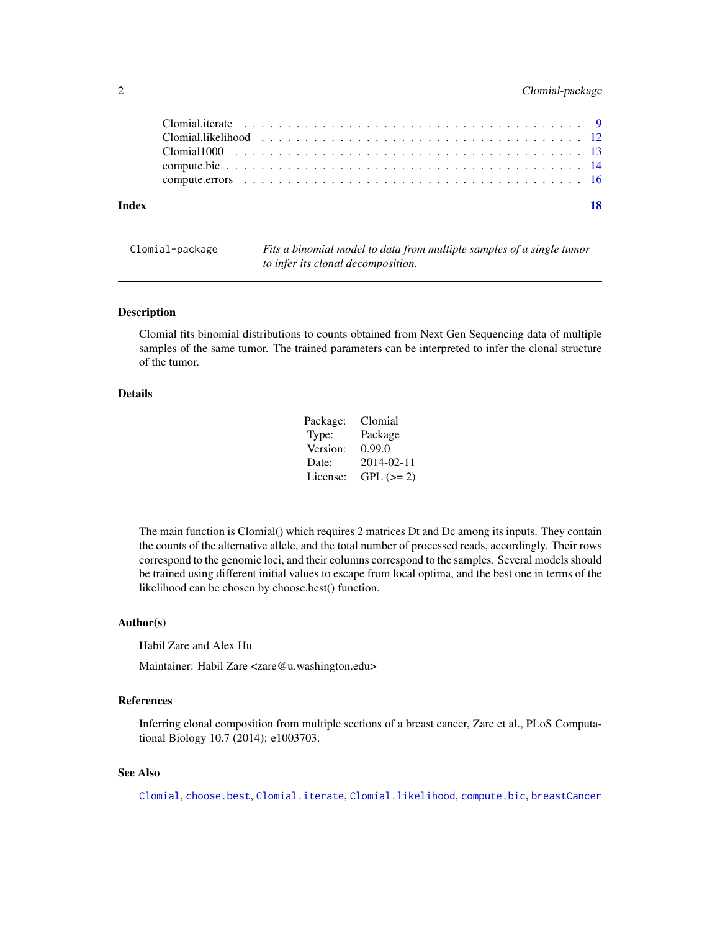#### <span id="page-1-0"></span>2 Clomial-package

| Index | - 18 |
|-------|------|
|       |      |
|       |      |

Clomial-package *Fits a binomial model to data from multiple samples of a single tumor to infer its clonal decomposition.*

#### Description

Clomial fits binomial distributions to counts obtained from Next Gen Sequencing data of multiple samples of the same tumor. The trained parameters can be interpreted to infer the clonal structure of the tumor.

#### Details

| Package: | Clomial    |
|----------|------------|
| Type:    | Package    |
| Version: | 0.99.0     |
| Date:    | 2014-02-11 |
| License: | $GPL (=2)$ |

The main function is Clomial() which requires 2 matrices Dt and Dc among its inputs. They contain the counts of the alternative allele, and the total number of processed reads, accordingly. Their rows correspond to the genomic loci, and their columns correspond to the samples. Several models should be trained using different initial values to escape from local optima, and the best one in terms of the likelihood can be chosen by choose.best() function.

#### Author(s)

Habil Zare and Alex Hu

Maintainer: Habil Zare <zare@u.washington.edu>

#### References

Inferring clonal composition from multiple sections of a breast cancer, Zare et al., PLoS Computational Biology 10.7 (2014): e1003703.

#### See Also

[Clomial](#page-4-1), [choose.best](#page-3-1), [Clomial.iterate](#page-8-1), [Clomial.likelihood](#page-11-1), [compute.bic](#page-13-1), [breastCancer](#page-2-1)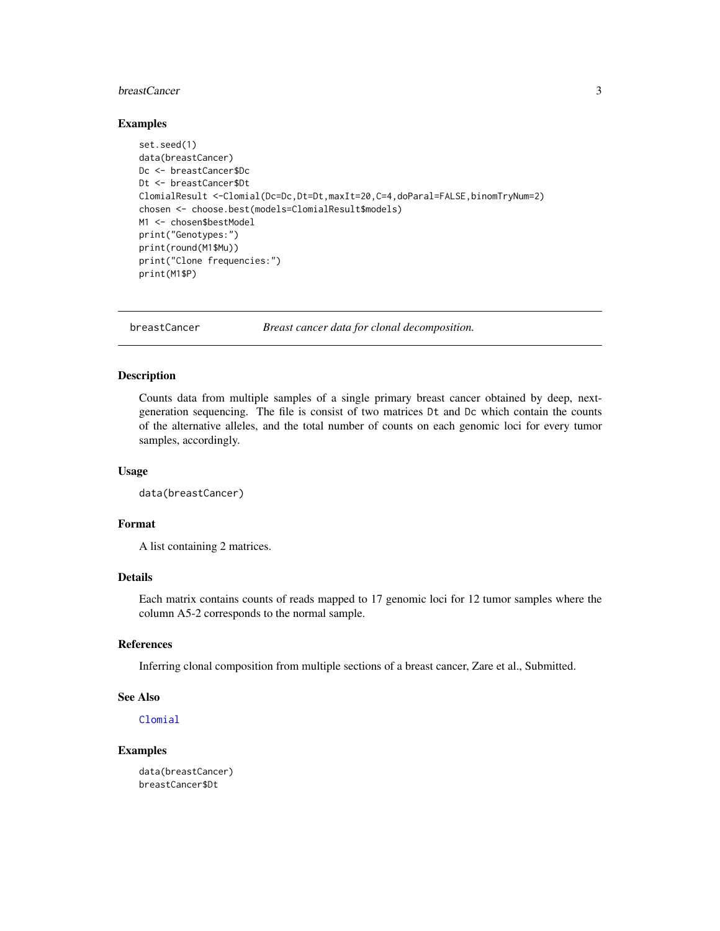#### <span id="page-2-0"></span>breastCancer 3

#### Examples

```
set.seed(1)
data(breastCancer)
Dc <- breastCancer$Dc
Dt <- breastCancer$Dt
ClomialResult <-Clomial(Dc=Dc,Dt=Dt,maxIt=20,C=4,doParal=FALSE,binomTryNum=2)
chosen <- choose.best(models=ClomialResult$models)
M1 <- chosen$bestModel
print("Genotypes:")
print(round(M1$Mu))
print("Clone frequencies:")
print(M1$P)
```
<span id="page-2-1"></span>

breastCancer *Breast cancer data for clonal decomposition.*

#### Description

Counts data from multiple samples of a single primary breast cancer obtained by deep, nextgeneration sequencing. The file is consist of two matrices Dt and Dc which contain the counts of the alternative alleles, and the total number of counts on each genomic loci for every tumor samples, accordingly.

#### Usage

data(breastCancer)

#### Format

A list containing 2 matrices.

#### Details

Each matrix contains counts of reads mapped to 17 genomic loci for 12 tumor samples where the column A5-2 corresponds to the normal sample.

#### References

Inferring clonal composition from multiple sections of a breast cancer, Zare et al., Submitted.

#### See Also

[Clomial](#page-4-1)

#### Examples

data(breastCancer) breastCancer\$Dt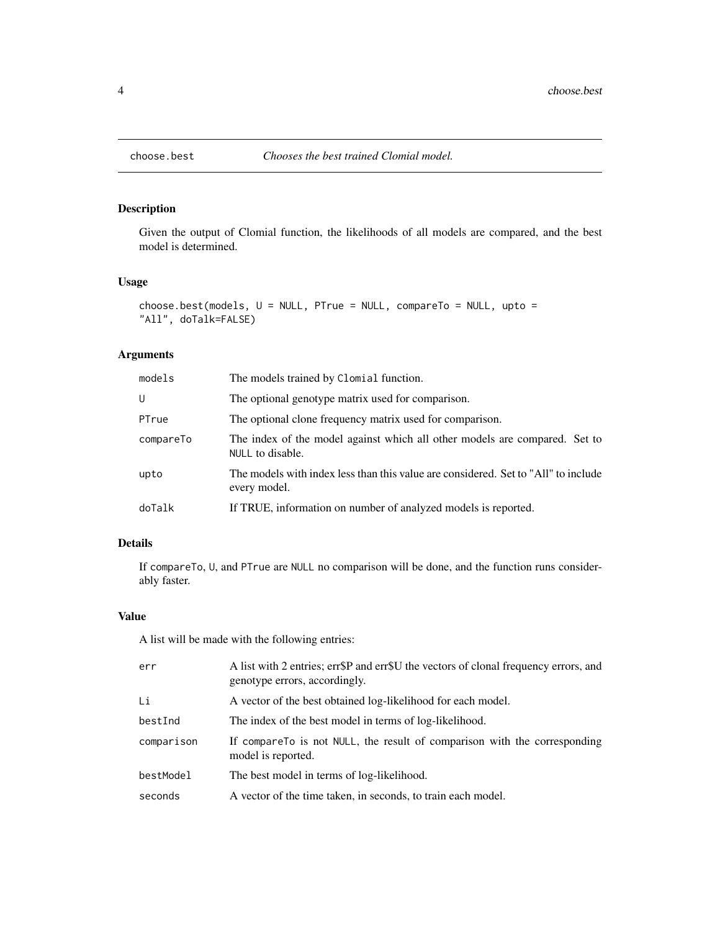<span id="page-3-1"></span><span id="page-3-0"></span>

#### Description

Given the output of Clomial function, the likelihoods of all models are compared, and the best model is determined.

### Usage

```
choose.best(models, U = NULL, PTrue = NULL, compareTo = NULL, upto =
"All", doTalk=FALSE)
```
#### Arguments

| models    | The models trained by Clomial function.                                                            |
|-----------|----------------------------------------------------------------------------------------------------|
| U         | The optional genotype matrix used for comparison.                                                  |
| PTrue     | The optional clone frequency matrix used for comparison.                                           |
| compareTo | The index of the model against which all other models are compared. Set to<br>NULL to disable.     |
| upto      | The models with index less than this value are considered. Set to "All" to include<br>every model. |
| doTalk    | If TRUE, information on number of analyzed models is reported.                                     |

#### Details

If compareTo, U, and PTrue are NULL no comparison will be done, and the function runs considerably faster.

#### Value

A list will be made with the following entries:

| err        | A list with 2 entries; err\$P and err\$U the vectors of clonal frequency errors, and<br>genotype errors, accordingly. |
|------------|-----------------------------------------------------------------------------------------------------------------------|
| Li         | A vector of the best obtained log-likelihood for each model.                                                          |
| bestInd    | The index of the best model in terms of log-likelihood.                                                               |
| comparison | If compare To is not NULL, the result of comparison with the corresponding<br>model is reported.                      |
| bestModel  | The best model in terms of log-likelihood.                                                                            |
| seconds    | A vector of the time taken, in seconds, to train each model.                                                          |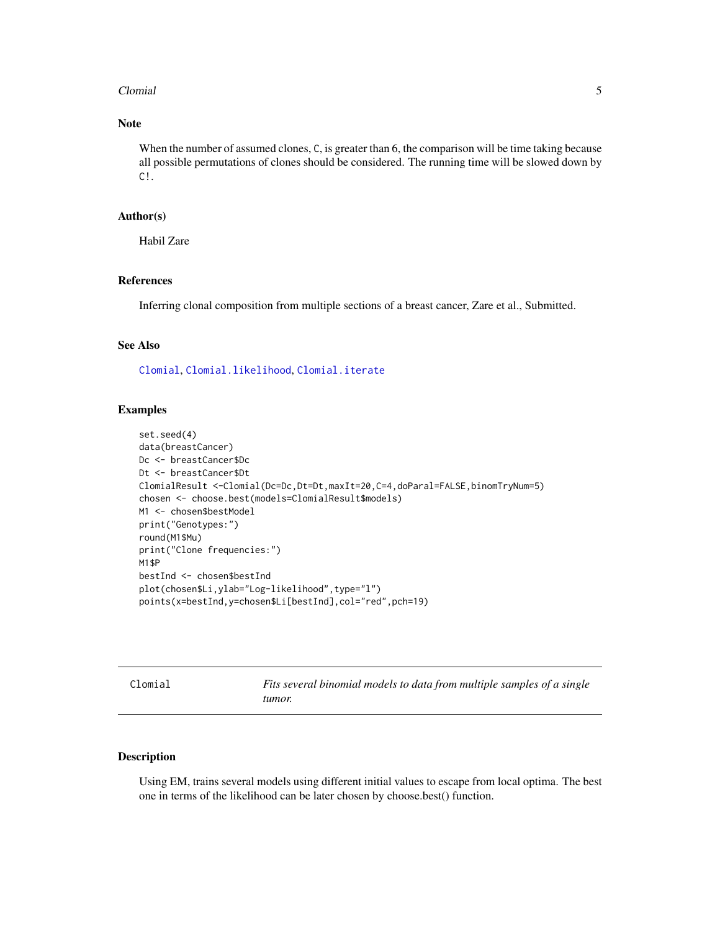#### <span id="page-4-0"></span>Clomial 5

#### Note

When the number of assumed clones, C, is greater than 6, the comparison will be time taking because all possible permutations of clones should be considered. The running time will be slowed down by C!.

#### Author(s)

Habil Zare

#### References

Inferring clonal composition from multiple sections of a breast cancer, Zare et al., Submitted.

#### See Also

[Clomial](#page-4-1), [Clomial.likelihood](#page-11-1), [Clomial.iterate](#page-8-1)

#### Examples

```
set.seed(4)
data(breastCancer)
Dc <- breastCancer$Dc
Dt <- breastCancer$Dt
ClomialResult <-Clomial(Dc=Dc,Dt=Dt,maxIt=20,C=4,doParal=FALSE,binomTryNum=5)
chosen <- choose.best(models=ClomialResult$models)
M1 <- chosen$bestModel
print("Genotypes:")
round(M1$Mu)
print("Clone frequencies:")
M1$P
bestInd <- chosen$bestInd
plot(chosen$Li,ylab="Log-likelihood",type="l")
points(x=bestInd,y=chosen$Li[bestInd],col="red",pch=19)
```
<span id="page-4-1"></span>Clomial *Fits several binomial models to data from multiple samples of a single tumor.*

#### Description

Using EM, trains several models using different initial values to escape from local optima. The best one in terms of the likelihood can be later chosen by choose.best() function.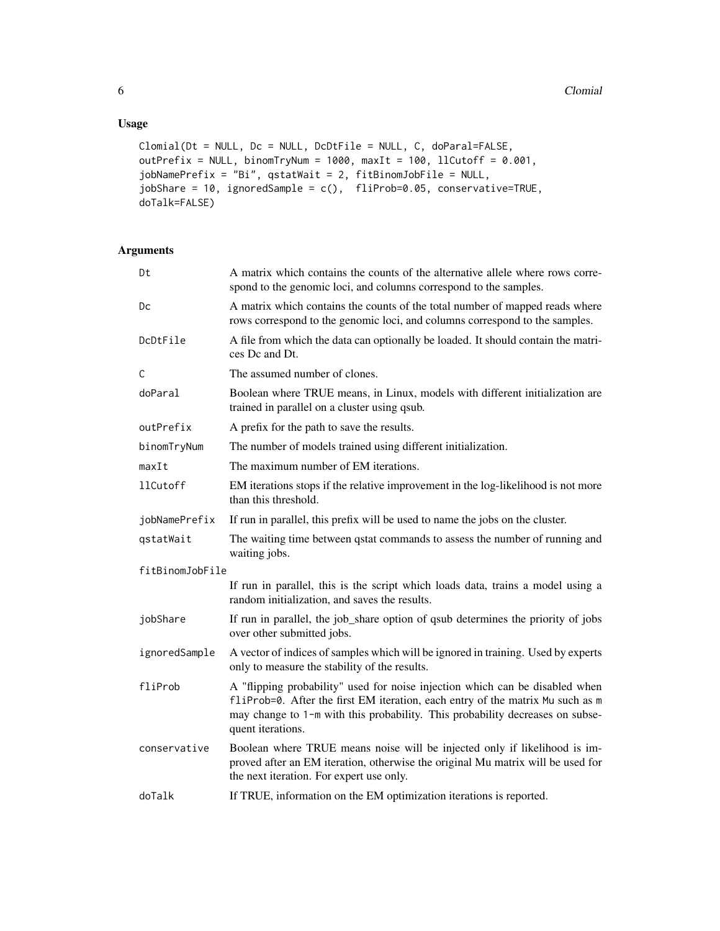#### Usage

```
Clomial(Dt = NULL, Dc = NULL, DcDtFile = NULL, C, doParal=FALSE,
outPrefix = NULL, binomTryNum = 1000, maxIt = 100, llCutoff = 0.001,
jobNamePrefix = "Bi", qstatWait = 2, fitBinomJobFile = NULL,
jobShare = 10, ignoredSample = c(), fliProb=0.05, conservative=TRUE,
doTalk=FALSE)
```
#### Arguments

| Dt              | A matrix which contains the counts of the alternative allele where rows corre-<br>spond to the genomic loci, and columns correspond to the samples.                                                                                                                  |
|-----------------|----------------------------------------------------------------------------------------------------------------------------------------------------------------------------------------------------------------------------------------------------------------------|
| Dc              | A matrix which contains the counts of the total number of mapped reads where<br>rows correspond to the genomic loci, and columns correspond to the samples.                                                                                                          |
| DcDtFile        | A file from which the data can optionally be loaded. It should contain the matri-<br>ces Dc and Dt.                                                                                                                                                                  |
| C               | The assumed number of clones.                                                                                                                                                                                                                                        |
| doParal         | Boolean where TRUE means, in Linux, models with different initialization are<br>trained in parallel on a cluster using qsub.                                                                                                                                         |
| outPrefix       | A prefix for the path to save the results.                                                                                                                                                                                                                           |
| binomTryNum     | The number of models trained using different initialization.                                                                                                                                                                                                         |
| maxIt           | The maximum number of EM iterations.                                                                                                                                                                                                                                 |
| 11Cutoff        | EM iterations stops if the relative improvement in the log-likelihood is not more<br>than this threshold.                                                                                                                                                            |
| jobNamePrefix   | If run in parallel, this prefix will be used to name the jobs on the cluster.                                                                                                                                                                                        |
| qstatWait       | The waiting time between qstat commands to assess the number of running and<br>waiting jobs.                                                                                                                                                                         |
| fitBinomJobFile |                                                                                                                                                                                                                                                                      |
|                 | If run in parallel, this is the script which loads data, trains a model using a<br>random initialization, and saves the results.                                                                                                                                     |
| jobShare        | If run in parallel, the job_share option of qsub determines the priority of jobs<br>over other submitted jobs.                                                                                                                                                       |
| ignoredSample   | A vector of indices of samples which will be ignored in training. Used by experts<br>only to measure the stability of the results.                                                                                                                                   |
| fliProb         | A "flipping probability" used for noise injection which can be disabled when<br>fliProb=0. After the first EM iteration, each entry of the matrix Mu such as m<br>may change to 1-m with this probability. This probability decreases on subse-<br>quent iterations. |
| conservative    | Boolean where TRUE means noise will be injected only if likelihood is im-<br>proved after an EM iteration, otherwise the original Mu matrix will be used for<br>the next iteration. For expert use only.                                                             |
| doTalk          | If TRUE, information on the EM optimization iterations is reported.                                                                                                                                                                                                  |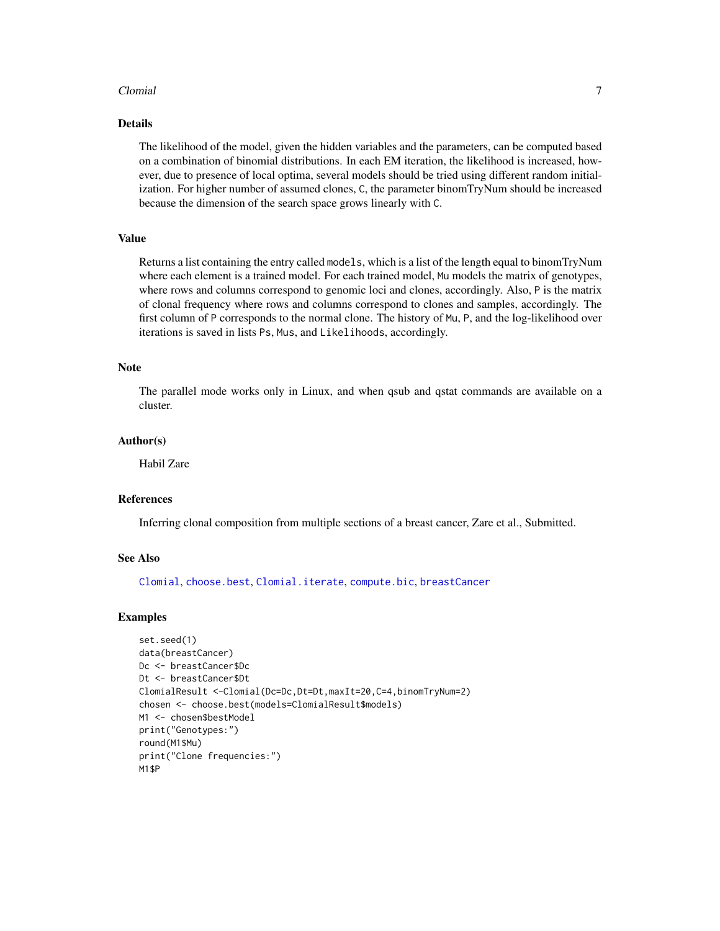#### <span id="page-6-0"></span>Clomial 2008 and 2008 and 2008 and 2008 and 2008 and 2008 and 2008 and 2008 and 2008 and 2008 and 2008 and 200

#### Details

The likelihood of the model, given the hidden variables and the parameters, can be computed based on a combination of binomial distributions. In each EM iteration, the likelihood is increased, however, due to presence of local optima, several models should be tried using different random initialization. For higher number of assumed clones, C, the parameter binomTryNum should be increased because the dimension of the search space grows linearly with C.

#### Value

Returns a list containing the entry called models, which is a list of the length equal to binomTryNum where each element is a trained model. For each trained model, Mu models the matrix of genotypes, where rows and columns correspond to genomic loci and clones, accordingly. Also, P is the matrix of clonal frequency where rows and columns correspond to clones and samples, accordingly. The first column of P corresponds to the normal clone. The history of Mu, P, and the log-likelihood over iterations is saved in lists Ps, Mus, and Likelihoods, accordingly.

#### Note

The parallel mode works only in Linux, and when qsub and qstat commands are available on a cluster.

#### Author(s)

Habil Zare

#### References

Inferring clonal composition from multiple sections of a breast cancer, Zare et al., Submitted.

#### See Also

[Clomial](#page-4-1), [choose.best](#page-3-1), [Clomial.iterate](#page-8-1), [compute.bic](#page-13-1), [breastCancer](#page-2-1)

```
set.seed(1)
data(breastCancer)
Dc <- breastCancer$Dc
Dt <- breastCancer$Dt
ClomialResult <-Clomial(Dc=Dc,Dt=Dt,maxIt=20,C=4,binomTryNum=2)
chosen <- choose.best(models=ClomialResult$models)
M1 <- chosen$bestModel
print("Genotypes:")
round(M1$Mu)
print("Clone frequencies:")
M1$P
```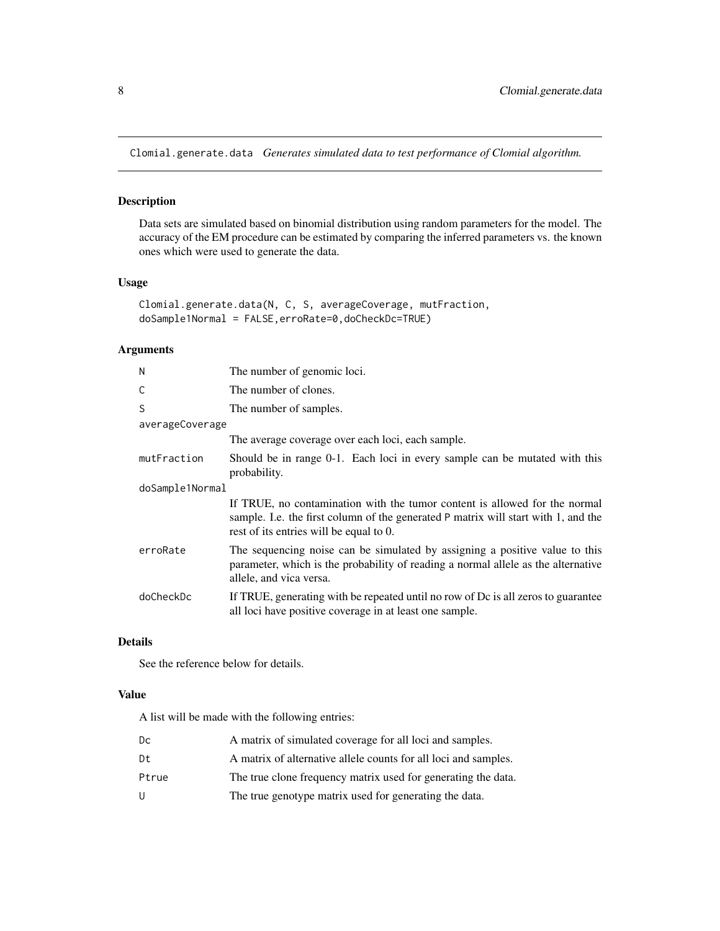<span id="page-7-0"></span>Clomial.generate.data *Generates simulated data to test performance of Clomial algorithm.*

#### Description

Data sets are simulated based on binomial distribution using random parameters for the model. The accuracy of the EM procedure can be estimated by comparing the inferred parameters vs. the known ones which were used to generate the data.

#### Usage

```
Clomial.generate.data(N, C, S, averageCoverage, mutFraction,
doSample1Normal = FALSE,erroRate=0,doCheckDc=TRUE)
```
#### Arguments

| N               | The number of genomic loci.                                                                                                                                                                                 |
|-----------------|-------------------------------------------------------------------------------------------------------------------------------------------------------------------------------------------------------------|
| C               | The number of clones.                                                                                                                                                                                       |
| S               | The number of samples.                                                                                                                                                                                      |
| averageCoverage |                                                                                                                                                                                                             |
|                 | The average coverage over each loci, each sample.                                                                                                                                                           |
| mutFraction     | Should be in range 0-1. Each loci in every sample can be mutated with this<br>probability.                                                                                                                  |
| doSample1Normal |                                                                                                                                                                                                             |
|                 | If TRUE, no contamination with the tumor content is allowed for the normal<br>sample. I.e. the first column of the generated P matrix will start with 1, and the<br>rest of its entries will be equal to 0. |
| erroRate        | The sequencing noise can be simulated by assigning a positive value to this<br>parameter, which is the probability of reading a normal allele as the alternative<br>allele, and vica versa.                 |
| doCheckDc       | If TRUE, generating with be repeated until no row of Dc is all zeros to guarantee<br>all loci have positive coverage in at least one sample.                                                                |

#### Details

See the reference below for details.

#### Value

A list will be made with the following entries:

| Dc    | A matrix of simulated coverage for all loci and samples.        |
|-------|-----------------------------------------------------------------|
| Dt    | A matrix of alternative allele counts for all loci and samples. |
| Ptrue | The true clone frequency matrix used for generating the data.   |
| U     | The true genotype matrix used for generating the data.          |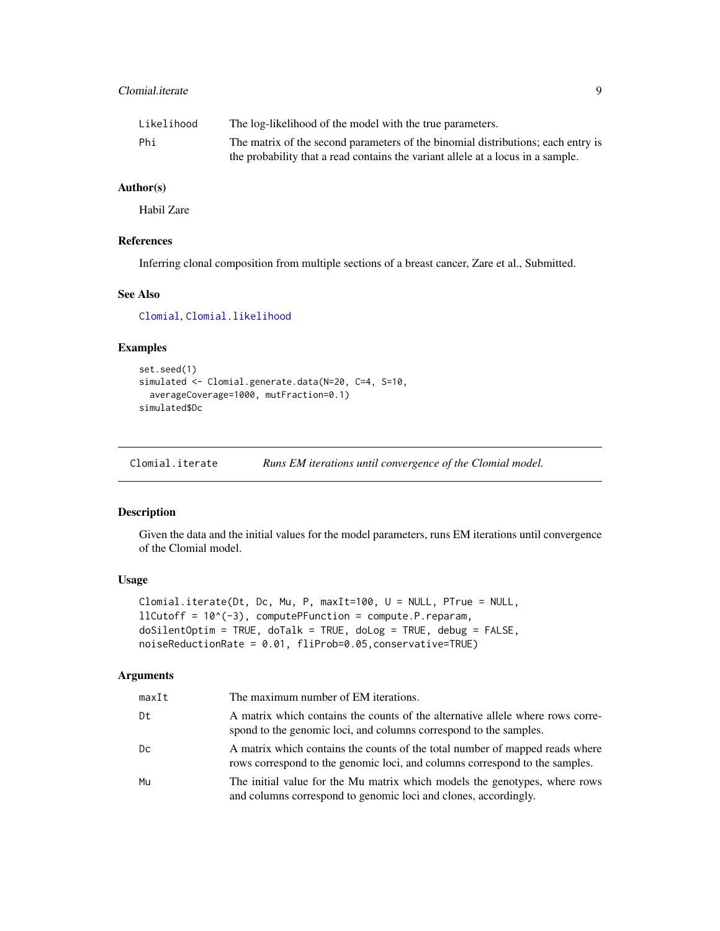#### <span id="page-8-0"></span>Clomial.iterate 9

| Likelihood | The log-likelihood of the model with the true parameters.                        |
|------------|----------------------------------------------------------------------------------|
| Phi        | The matrix of the second parameters of the binomial distributions; each entry is |
|            | the probability that a read contains the variant allele at a locus in a sample.  |

#### Author(s)

Habil Zare

#### References

Inferring clonal composition from multiple sections of a breast cancer, Zare et al., Submitted.

#### See Also

[Clomial](#page-4-1), [Clomial.likelihood](#page-11-1)

#### Examples

```
set.seed(1)
simulated <- Clomial.generate.data(N=20, C=4, S=10,
 averageCoverage=1000, mutFraction=0.1)
simulated$Dc
```
<span id="page-8-1"></span>Clomial.iterate *Runs EM iterations until convergence of the Clomial model.*

#### Description

Given the data and the initial values for the model parameters, runs EM iterations until convergence of the Clomial model.

#### Usage

```
Clomial.iterate(Dt, Dc, Mu, P, maxIt=100, U = NULL, PTrue = NULL,
llCutoff = 10^(-3), computePFunction = compute.P.reparam,
doSilentOptim = TRUE, doTalk = TRUE, doLog = TRUE, debug = FALSE,
noiseReductionRate = 0.01, fliProb=0.05,conservative=TRUE)
```
#### Arguments

| maxIt | The maximum number of EM iterations.                                                                                                                        |
|-------|-------------------------------------------------------------------------------------------------------------------------------------------------------------|
| Dt    | A matrix which contains the counts of the alternative allele where rows corre-<br>spond to the genomic loci, and columns correspond to the samples.         |
| Dс    | A matrix which contains the counts of the total number of mapped reads where<br>rows correspond to the genomic loci, and columns correspond to the samples. |
| Mu    | The initial value for the Mu matrix which models the genotypes, where rows<br>and columns correspond to genomic loci and clones, accordingly.               |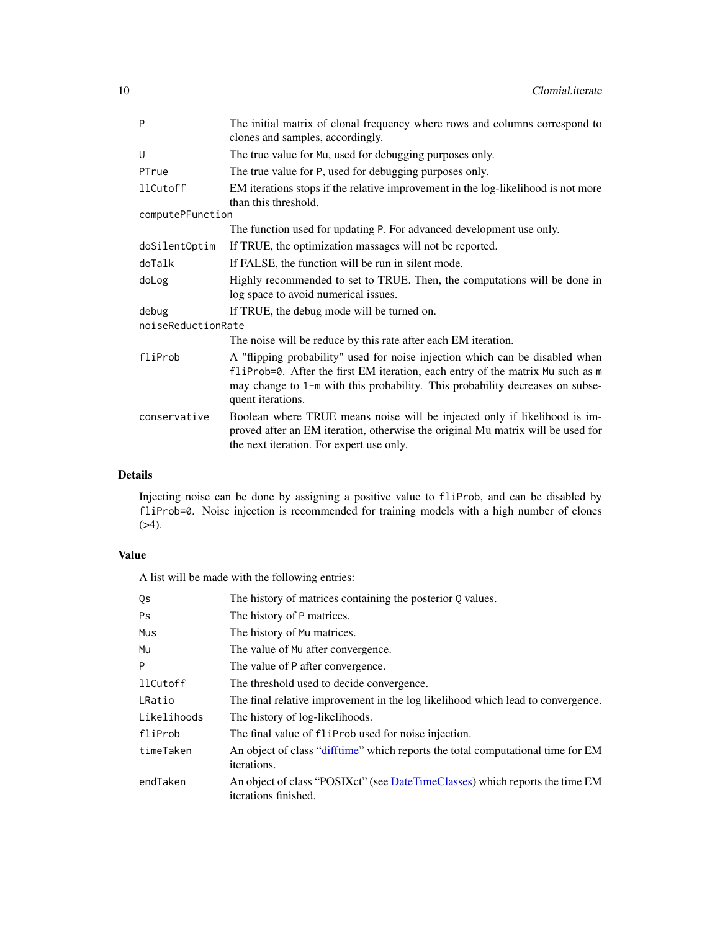<span id="page-9-0"></span>

| P                  | The initial matrix of clonal frequency where rows and columns correspond to<br>clones and samples, accordingly.                                                                                                                                                      |  |  |  |  |  |  |
|--------------------|----------------------------------------------------------------------------------------------------------------------------------------------------------------------------------------------------------------------------------------------------------------------|--|--|--|--|--|--|
| U                  | The true value for Mu, used for debugging purposes only.                                                                                                                                                                                                             |  |  |  |  |  |  |
| PTrue              | The true value for P, used for debugging purposes only.                                                                                                                                                                                                              |  |  |  |  |  |  |
| 11Cutoff           | EM iterations stops if the relative improvement in the log-likelihood is not more<br>than this threshold.                                                                                                                                                            |  |  |  |  |  |  |
| computePFunction   |                                                                                                                                                                                                                                                                      |  |  |  |  |  |  |
|                    | The function used for updating P. For advanced development use only.                                                                                                                                                                                                 |  |  |  |  |  |  |
| doSilentOptim      | If TRUE, the optimization massages will not be reported.                                                                                                                                                                                                             |  |  |  |  |  |  |
| doTalk             | If FALSE, the function will be run in silent mode.                                                                                                                                                                                                                   |  |  |  |  |  |  |
| doLog              | Highly recommended to set to TRUE. Then, the computations will be done in<br>log space to avoid numerical issues.                                                                                                                                                    |  |  |  |  |  |  |
| debug              | If TRUE, the debug mode will be turned on.                                                                                                                                                                                                                           |  |  |  |  |  |  |
| noiseReductionRate |                                                                                                                                                                                                                                                                      |  |  |  |  |  |  |
|                    | The noise will be reduce by this rate after each EM iteration.                                                                                                                                                                                                       |  |  |  |  |  |  |
| fliProb            | A "flipping probability" used for noise injection which can be disabled when<br>fliProb=0. After the first EM iteration, each entry of the matrix Mu such as m<br>may change to 1-m with this probability. This probability decreases on subse-<br>quent iterations. |  |  |  |  |  |  |
| conservative       | Boolean where TRUE means noise will be injected only if likelihood is im-<br>proved after an EM iteration, otherwise the original Mu matrix will be used for<br>the next iteration. For expert use only.                                                             |  |  |  |  |  |  |

#### Details

Injecting noise can be done by assigning a positive value to fliProb, and can be disabled by fliProb=0. Noise injection is recommended for training models with a high number of clones  $( >4).$ 

#### Value

A list will be made with the following entries:

| Qs          | The history of matrices containing the posterior Q values.                                            |
|-------------|-------------------------------------------------------------------------------------------------------|
| <b>Ps</b>   | The history of P matrices.                                                                            |
| Mus         | The history of Mu matrices.                                                                           |
| Mu          | The value of Mu after convergence.                                                                    |
| P           | The value of P after convergence.                                                                     |
| 11Cutoff    | The threshold used to decide convergence.                                                             |
| LRatio      | The final relative improvement in the log likelihood which lead to convergence.                       |
| Likelihoods | The history of log-likelihoods.                                                                       |
| fliProb     | The final value of flip robused for noise injection.                                                  |
| timeTaken   | An object of class "difftime" which reports the total computational time for EM<br><i>iterations.</i> |
| endTaken    | An object of class "POSIX ct" (see DateTimeClasses) which reports the time EM<br>iterations finished. |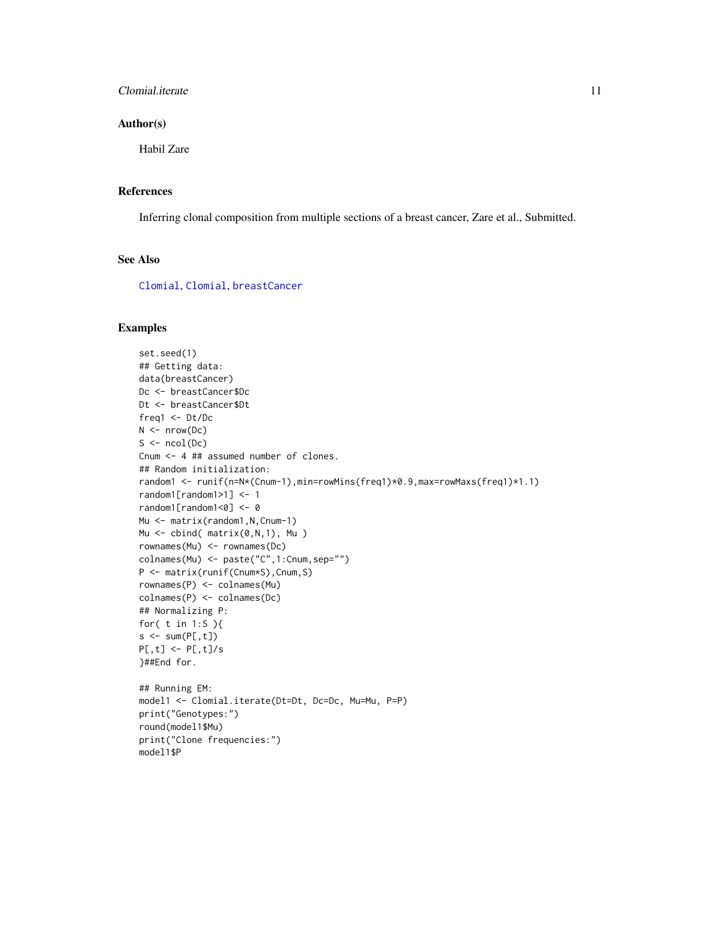#### <span id="page-10-0"></span>Clomial.iterate 11

#### Author(s)

Habil Zare

#### References

Inferring clonal composition from multiple sections of a breast cancer, Zare et al., Submitted.

#### See Also

[Clomial](#page-4-1), [Clomial](#page-4-1), [breastCancer](#page-2-1)

```
set.seed(1)
## Getting data:
data(breastCancer)
Dc <- breastCancer$Dc
Dt <- breastCancer$Dt
freq1 <- Dt/Dc
N < - nrow(Dc)
S \leftarrow \text{ncol}(Dc)Cnum <- 4 ## assumed number of clones.
## Random initialization:
random1 <- runif(n=N*(Cnum-1),min=rowMins(freq1)*0.9,max=rowMaxs(freq1)*1.1)
random1[random1>1] <- 1
random1[random1<0] <- 0
Mu <- matrix(random1, N, Cnum-1)
Mu <- cbind( matrix(0,N,1), Mu )
rownames(Mu) <- rownames(Dc)
colnames(Mu) <- paste("C",1:Cnum,sep="")
P <- matrix(runif(Cnum*S),Cnum,S)
rownames(P) <- colnames(Mu)
colnames(P) <- colnames(Dc)
## Normalizing P:
for( t in 1:S ){
s < -sum(P[, t])P[, t] <- P[, t]/s}##End for.
## Running EM:
model1 <- Clomial.iterate(Dt=Dt, Dc=Dc, Mu=Mu, P=P)
print("Genotypes:")
round(model1$Mu)
print("Clone frequencies:")
model1$P
```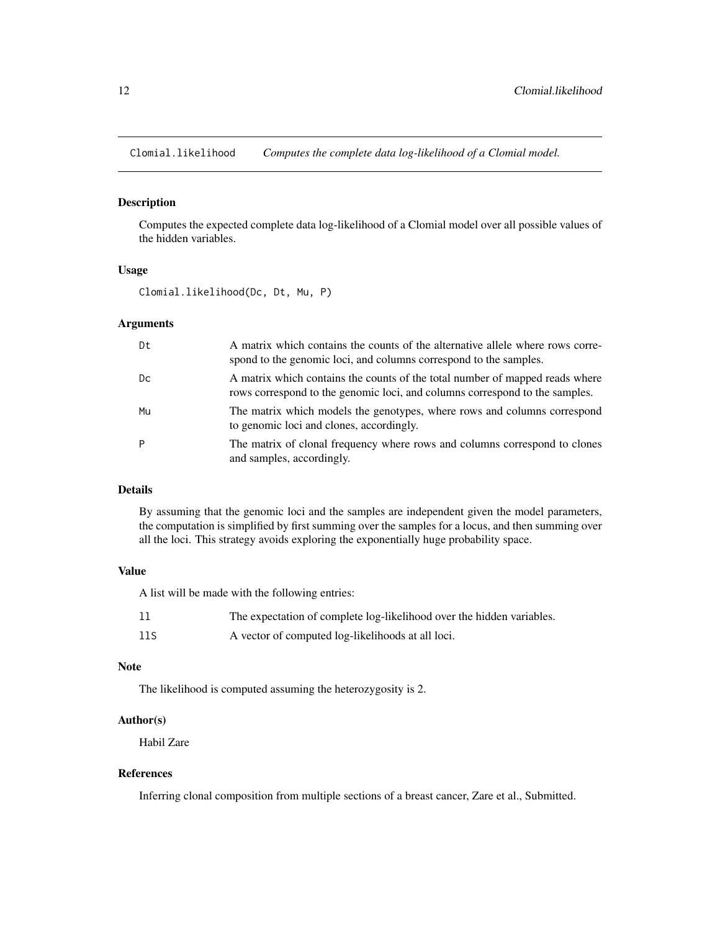<span id="page-11-1"></span><span id="page-11-0"></span>Clomial.likelihood *Computes the complete data log-likelihood of a Clomial model.*

#### Description

Computes the expected complete data log-likelihood of a Clomial model over all possible values of the hidden variables.

#### Usage

Clomial.likelihood(Dc, Dt, Mu, P)

#### Arguments

| Dt | A matrix which contains the counts of the alternative allele where rows corre-<br>spond to the genomic loci, and columns correspond to the samples.         |
|----|-------------------------------------------------------------------------------------------------------------------------------------------------------------|
| Dc | A matrix which contains the counts of the total number of mapped reads where<br>rows correspond to the genomic loci, and columns correspond to the samples. |
| Mu | The matrix which models the genotypes, where rows and columns correspond<br>to genomic loci and clones, accordingly.                                        |
| P  | The matrix of clonal frequency where rows and columns correspond to clones<br>and samples, accordingly.                                                     |

#### Details

By assuming that the genomic loci and the samples are independent given the model parameters, the computation is simplified by first summing over the samples for a locus, and then summing over all the loci. This strategy avoids exploring the exponentially huge probability space.

#### Value

A list will be made with the following entries:

| -11 | The expectation of complete log-likelihood over the hidden variables. |
|-----|-----------------------------------------------------------------------|
| 11S | A vector of computed log-likelihoods at all loci.                     |

#### Note

The likelihood is computed assuming the heterozygosity is 2.

#### Author(s)

Habil Zare

#### References

Inferring clonal composition from multiple sections of a breast cancer, Zare et al., Submitted.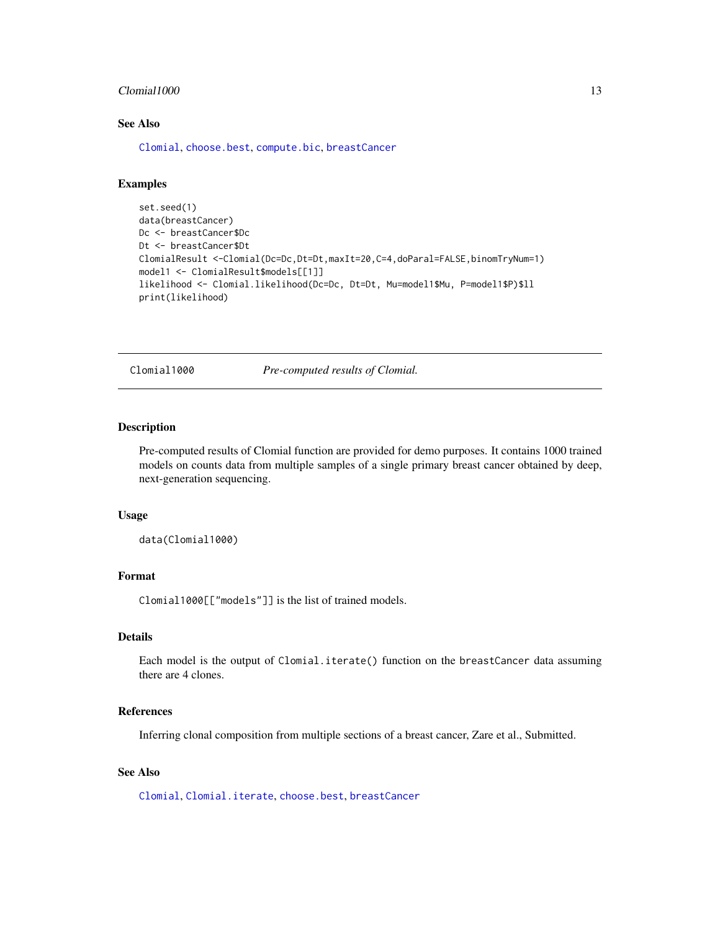#### <span id="page-12-0"></span> $\emph{C}$ lomial1000 13

#### See Also

[Clomial](#page-4-1), [choose.best](#page-3-1), [compute.bic](#page-13-1), [breastCancer](#page-2-1)

#### Examples

```
set.seed(1)
data(breastCancer)
Dc <- breastCancer$Dc
Dt <- breastCancer$Dt
ClomialResult <-Clomial(Dc=Dc,Dt=Dt,maxIt=20,C=4,doParal=FALSE,binomTryNum=1)
model1 <- ClomialResult$models[[1]]
likelihood <- Clomial.likelihood(Dc=Dc, Dt=Dt, Mu=model1$Mu, P=model1$P)$ll
print(likelihood)
```
Clomial1000 *Pre-computed results of Clomial.*

#### Description

Pre-computed results of Clomial function are provided for demo purposes. It contains 1000 trained models on counts data from multiple samples of a single primary breast cancer obtained by deep, next-generation sequencing.

#### Usage

data(Clomial1000)

#### Format

Clomial1000[["models"]] is the list of trained models.

#### Details

Each model is the output of Clomial.iterate() function on the breastCancer data assuming there are 4 clones.

#### References

Inferring clonal composition from multiple sections of a breast cancer, Zare et al., Submitted.

#### See Also

[Clomial](#page-4-1), [Clomial.iterate](#page-8-1), [choose.best](#page-3-1), [breastCancer](#page-2-1)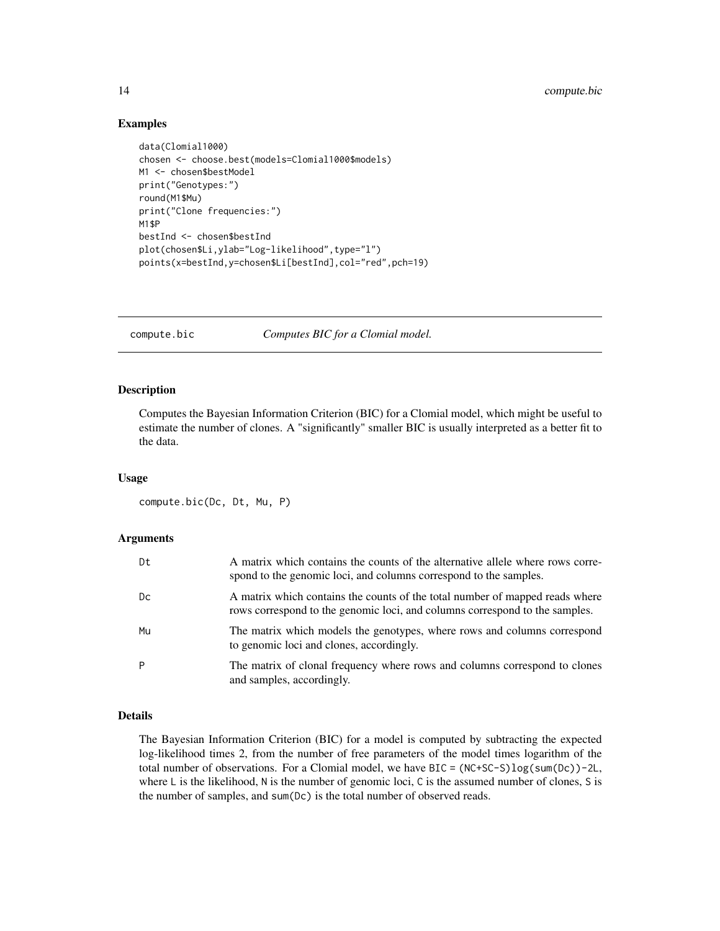#### Examples

```
data(Clomial1000)
chosen <- choose.best(models=Clomial1000$models)
M1 <- chosen$bestModel
print("Genotypes:")
round(M1$Mu)
print("Clone frequencies:")
M1$P
bestInd <- chosen$bestInd
plot(chosen$Li,ylab="Log-likelihood",type="l")
points(x=bestInd,y=chosen$Li[bestInd],col="red",pch=19)
```
<span id="page-13-1"></span>compute.bic *Computes BIC for a Clomial model.*

#### Description

Computes the Bayesian Information Criterion (BIC) for a Clomial model, which might be useful to estimate the number of clones. A "significantly" smaller BIC is usually interpreted as a better fit to the data.

#### Usage

compute.bic(Dc, Dt, Mu, P)

#### Arguments

| Dt | A matrix which contains the counts of the alternative allele where rows corre-<br>spond to the genomic loci, and columns correspond to the samples.         |
|----|-------------------------------------------------------------------------------------------------------------------------------------------------------------|
| Dc | A matrix which contains the counts of the total number of mapped reads where<br>rows correspond to the genomic loci, and columns correspond to the samples. |
| Mu | The matrix which models the genotypes, where rows and columns correspond<br>to genomic loci and clones, accordingly.                                        |
| P  | The matrix of clonal frequency where rows and columns correspond to clones<br>and samples, accordingly.                                                     |

#### Details

The Bayesian Information Criterion (BIC) for a model is computed by subtracting the expected log-likelihood times 2, from the number of free parameters of the model times logarithm of the total number of observations. For a Clomial model, we have  $BIC = (NC+SC-S)log(sum(Dc)) - 2L$ , where L is the likelihood, N is the number of genomic loci, C is the assumed number of clones, S is the number of samples, and sum(Dc) is the total number of observed reads.

<span id="page-13-0"></span>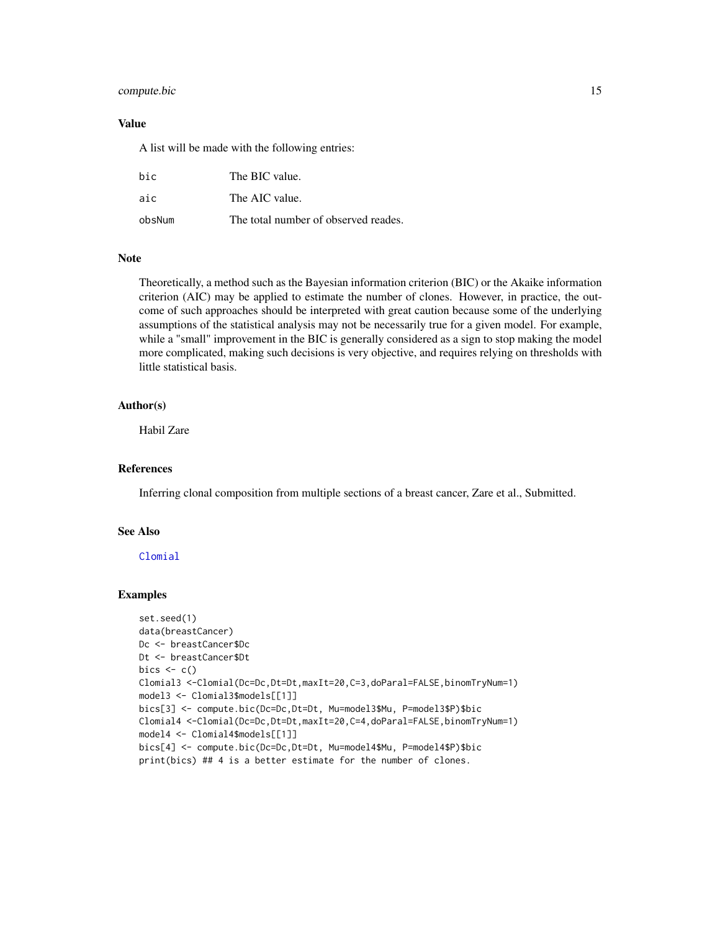#### <span id="page-14-0"></span>compute.bic 15

#### Value

A list will be made with the following entries:

| bic    | The BIC value.                       |
|--------|--------------------------------------|
| aic    | The AIC value.                       |
| obsNum | The total number of observed reades. |

#### Note

Theoretically, a method such as the Bayesian information criterion (BIC) or the Akaike information criterion (AIC) may be applied to estimate the number of clones. However, in practice, the outcome of such approaches should be interpreted with great caution because some of the underlying assumptions of the statistical analysis may not be necessarily true for a given model. For example, while a "small" improvement in the BIC is generally considered as a sign to stop making the model more complicated, making such decisions is very objective, and requires relying on thresholds with little statistical basis.

#### Author(s)

Habil Zare

#### References

Inferring clonal composition from multiple sections of a breast cancer, Zare et al., Submitted.

#### See Also

#### [Clomial](#page-4-1)

```
set.seed(1)
data(breastCancer)
Dc <- breastCancer$Dc
Dt <- breastCancer$Dt
bics \leq c()Clomial3 <-Clomial(Dc=Dc,Dt=Dt,maxIt=20,C=3,doParal=FALSE,binomTryNum=1)
model3 <- Clomial3$models[[1]]
bics[3] <- compute.bic(Dc=Dc,Dt=Dt, Mu=model3$Mu, P=model3$P)$bic
Clomial4 <-Clomial(Dc=Dc,Dt=Dt,maxIt=20,C=4,doParal=FALSE,binomTryNum=1)
model4 <- Clomial4$models[[1]]
bics[4] <- compute.bic(Dc=Dc,Dt=Dt, Mu=model4$Mu, P=model4$P)$bic
print(bics) ## 4 is a better estimate for the number of clones.
```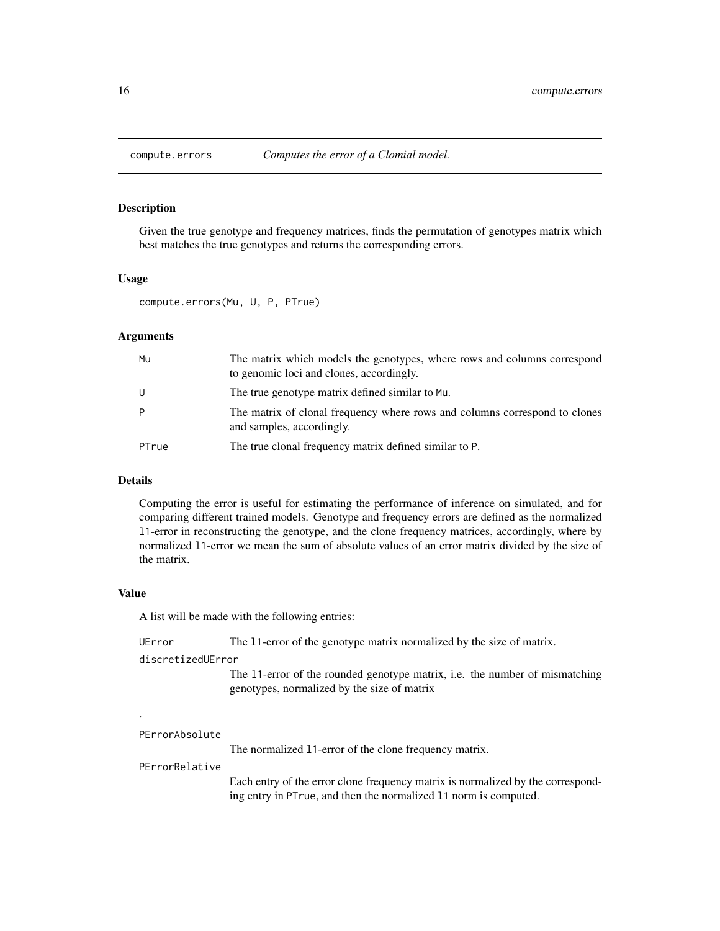<span id="page-15-0"></span>

#### Description

Given the true genotype and frequency matrices, finds the permutation of genotypes matrix which best matches the true genotypes and returns the corresponding errors.

#### Usage

compute.errors(Mu, U, P, PTrue)

#### Arguments

| Mu    | The matrix which models the genotypes, where rows and columns correspond<br>to genomic loci and clones, accordingly. |
|-------|----------------------------------------------------------------------------------------------------------------------|
| U     | The true genotype matrix defined similar to Mu.                                                                      |
| P     | The matrix of clonal frequency where rows and columns correspond to clones<br>and samples, accordingly.              |
| PTrue | The true clonal frequency matrix defined similar to P.                                                               |

#### Details

Computing the error is useful for estimating the performance of inference on simulated, and for comparing different trained models. Genotype and frequency errors are defined as the normalized l1-error in reconstructing the genotype, and the clone frequency matrices, accordingly, where by normalized l1-error we mean the sum of absolute values of an error matrix divided by the size of the matrix.

#### Value

A list will be made with the following entries:

| UError            | The 11-error of the genotype matrix normalized by the size of matrix.                                                             |
|-------------------|-----------------------------------------------------------------------------------------------------------------------------------|
| discretizedUError |                                                                                                                                   |
|                   | The 11-error of the rounded genotype matrix, <i>i.e.</i> the number of mismatching<br>genotypes, normalized by the size of matrix |
| $\cdot$           |                                                                                                                                   |

PErrorAbsolute

The normalized l1-error of the clone frequency matrix.

#### PErrorRelative

Each entry of the error clone frequency matrix is normalized by the corresponding entry in PTrue, and then the normalized l1 norm is computed.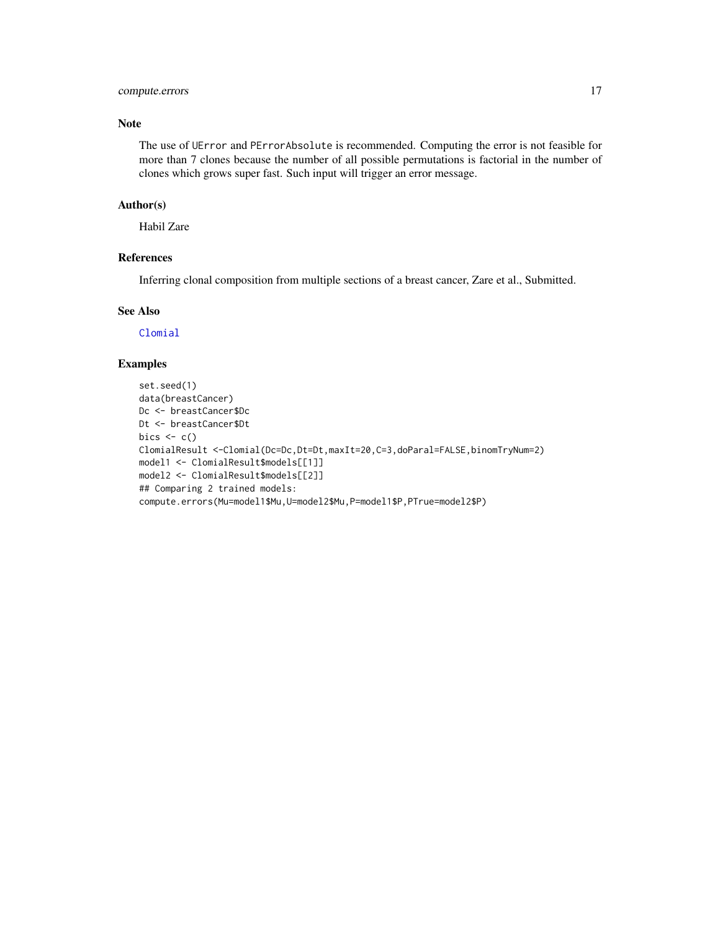#### <span id="page-16-0"></span>compute.errors 17

#### Note

The use of UError and PErrorAbsolute is recommended. Computing the error is not feasible for more than 7 clones because the number of all possible permutations is factorial in the number of clones which grows super fast. Such input will trigger an error message.

#### Author(s)

Habil Zare

#### References

Inferring clonal composition from multiple sections of a breast cancer, Zare et al., Submitted.

#### See Also

[Clomial](#page-4-1)

```
set.seed(1)
data(breastCancer)
Dc <- breastCancer$Dc
Dt <- breastCancer$Dt
bics \leq c()ClomialResult <-Clomial(Dc=Dc,Dt=Dt,maxIt=20,C=3,doParal=FALSE,binomTryNum=2)
model1 <- ClomialResult$models[[1]]
model2 <- ClomialResult$models[[2]]
## Comparing 2 trained models:
compute.errors(Mu=model1$Mu,U=model2$Mu,P=model1$P,PTrue=model2$P)
```